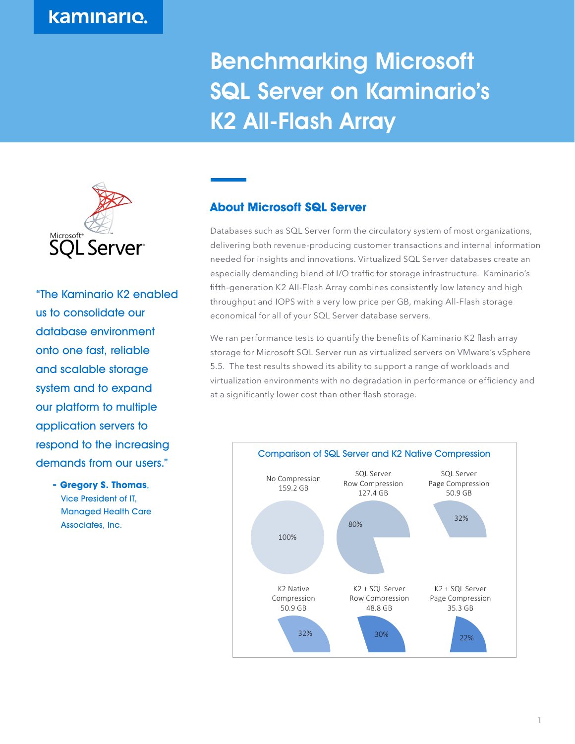Benchmarking Microsoft SQL Server on Kaminario's K2 All-Flash Array



"The Kaminario K2 enabled us to consolidate our database environment onto one fast, reliable and scalable storage system and to expand our platform to multiple application servers to respond to the increasing demands from our users."

> **- Gregory S. Thomas**, Vice President of IT, Managed Health Care Associates, Inc.

## **About Microsoft SQL Server**

Databases such as SQL Server form the circulatory system of most organizations, delivering both revenue-producing customer transactions and internal information needed for insights and innovations. Virtualized SQL Server databases create an especially demanding blend of I/O traffic for storage infrastructure. Kaminario's fifth-generation K2 All-Flash Array combines consistently low latency and high throughput and IOPS with a very low price per GB, making All-Flash storage economical for all of your SQL Server database servers.

We ran performance tests to quantify the benefits of Kaminario K2 flash array storage for Microsoft SQL Server run as virtualized servers on VMware's vSphere 5.5. The test results showed its ability to support a range of workloads and virtualization environments with no degradation in performance or efficiency and at a significantly lower cost than other flash storage.

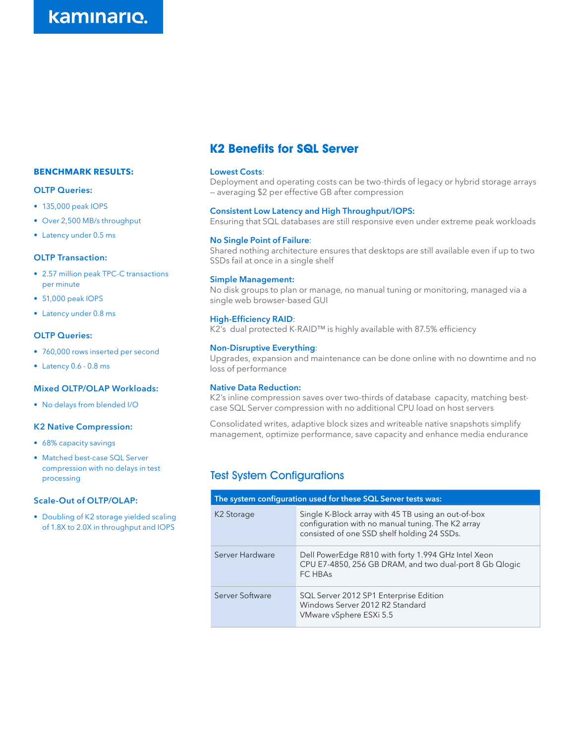#### **BENCHMARK RESULTS:**

#### **OLTP Queries:**

- 135,000 peak IOPS
- Over 2,500 MB/s throughput
- Latency under 0.5 ms

#### **OLTP Transaction:**

- 2.57 million peak TPC-C transactions per minute
- 51,000 peak IOPS
- Latency under 0.8 ms

#### **OLTP Queries:**

- 760,000 rows inserted per second
- Latency 0.6 0.8 ms

#### **Mixed OLTP/OLAP Workloads:**

• No delays from blended I/O

#### **K2 Native Compression:**

- 68% capacity savings
- Matched best-case SQL Server compression with no delays in test processing

#### **Scale-Out of OLTP/OLAP:**

• Doubling of K2 storage yielded scaling of 1.8X to 2.0X in throughput and IOPS

## **K2 Benefits for SQL Server**

#### **Lowest Costs**:

Deployment and operating costs can be two-thirds of legacy or hybrid storage arrays — averaging \$2 per effective GB after compression

#### **Consistent Low Latency and High Throughput/IOPS:**

Ensuring that SQL databases are still responsive even under extreme peak workloads

#### **No Single Point of Failure**:

Shared nothing architecture ensures that desktops are still available even if up to two SSDs fail at once in a single shelf

#### **Simple Management:**

No disk groups to plan or manage, no manual tuning or monitoring, managed via a single web browser-based GUI

#### **High-Efficiency RAID**:

K2's dual protected K-RAID™ is highly available with 87.5% efficiency

#### **Non-Disruptive Everything**:

Upgrades, expansion and maintenance can be done online with no downtime and no loss of performance

#### **Native Data Reduction:**

K2's inline compression saves over two-thirds of database capacity, matching bestcase SQL Server compression with no additional CPU load on host servers

Consolidated writes, adaptive block sizes and writeable native snapshots simplify management, optimize performance, save capacity and enhance media endurance

## Test System Configurations

| The system configuration used for these SQL Server tests was: |                                                                                                                                                         |
|---------------------------------------------------------------|---------------------------------------------------------------------------------------------------------------------------------------------------------|
| K <sub>2</sub> Storage                                        | Single K-Block array with 45 TB using an out-of-box<br>configuration with no manual tuning. The K2 array<br>consisted of one SSD shelf holding 24 SSDs. |
| Server Hardware                                               | Dell PowerEdge R810 with forty 1.994 GHz Intel Xeon<br>CPU E7-4850, 256 GB DRAM, and two dual-port 8 Gb Qlogic<br>FC HBAs                               |
| Server Software                                               | SQL Server 2012 SP1 Enterprise Edition<br>Windows Server 2012 R2 Standard<br>VMware vSphere ESXi 5.5                                                    |